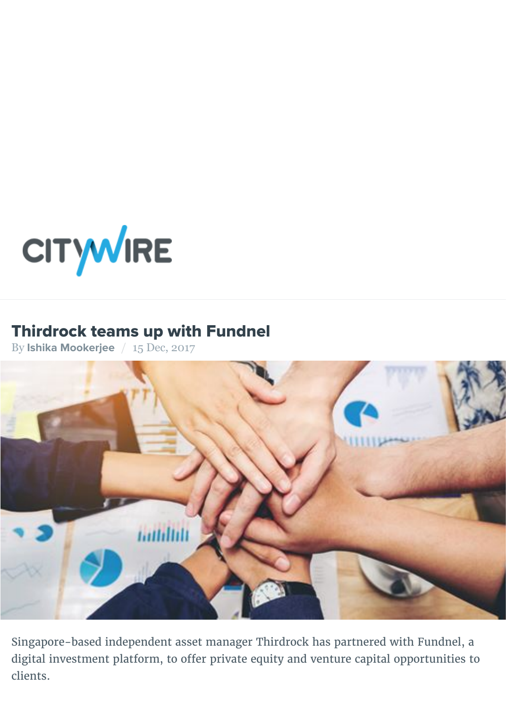

### Thirdrock teams up with Fundnel

By **Ishika Mookerjee** / 15 Dec, 2017



Singapore-based independent asset manager Thirdrock has partnered with Fundnel, and digital investment platform, to offer private equity and venture capital opportu clients.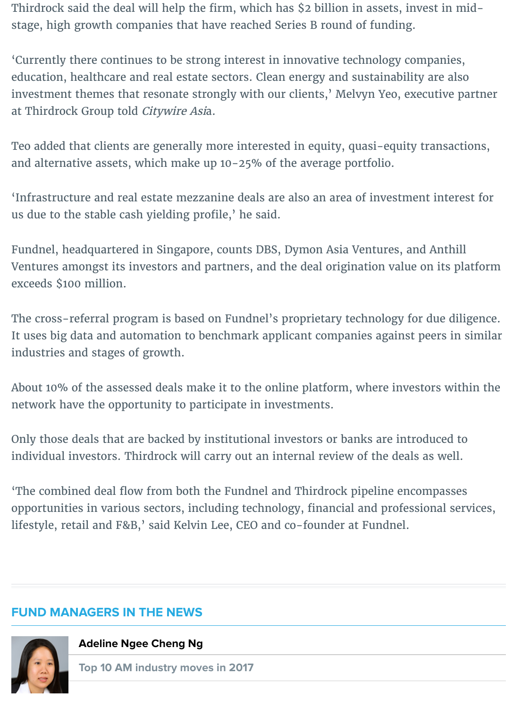Teo added that clients are generally more interested in equity, quasi-equity transactions, and alternative assets, which make up 10-25% of the average portfolio.

'Infrastructure and real estate mezzanine deals are also an area of investment us due to the stable cash yielding profile,' he said.

Fundnel, headquartered in Singapore, counts DBS, Dymon Asia Ventures, and A Ventures amongst its investors and partners, and the deal origination value on exceeds \$100 million.

The cross-referral program is based on Fundnel's proprietary technology for diligence. It uses big data and automation to benchmark applicant companies against peer industries and stages of growth.

About 10% of the assessed deals make it to the online platform, where investor network have the opportunity to participate in investments.

Only those deals that are backed by institutional investors or banks are introdu individual investors. Thirdrock will carry out an internal review of the deals as

'The combined deal flow from both the Fundnel and Thirdrock pipeline encompare opportunities in various sectors, including technology, financial and profession lifestyle, retail and F&B,' said Kelvin Lee, CEO and co-founder at Fundnel.

### **FUND MANAGERS IN THE NEWS**



#### **Adeline Ngee Cheng Ng**

**Top 10 AM industry moves in 2017**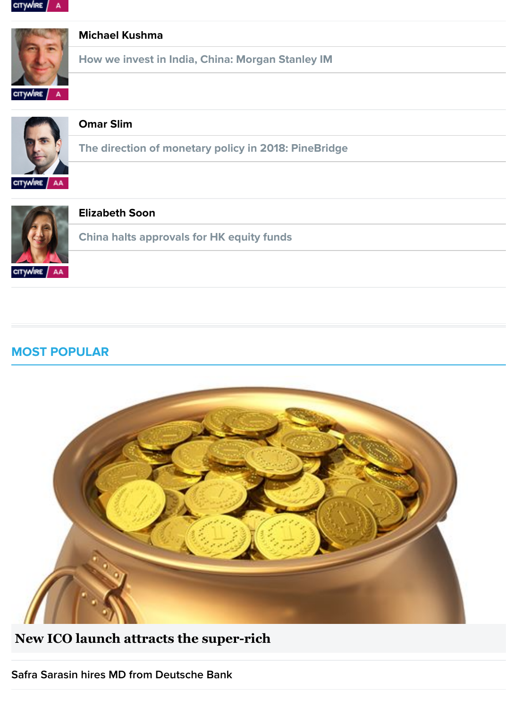



#### **[Elizabeth Soon](http://citywireasia.com/news/how-we-invest-in-india-china-morgan-stanley-im/a1076115?ref=international_asia_latest_news_list&linkSource=article-managers-in-the-news)**

**China halts approvals for HK equity funds**

#### **[MOST POPULAR](http://citywireasia.com/manager/elizabeth-soon/d1357?linkSource=article-managers-in-the-news)**



**[New ICO launch attracts the super-rich](http://citywireasia.com/news/new-ico-launch-attracts-the-super-rich/a1077400?ref=international-asia-most-popular-list&linkSource=article-mini-hp)**

**Safra Sarasin hires MD from Deutsche Bank**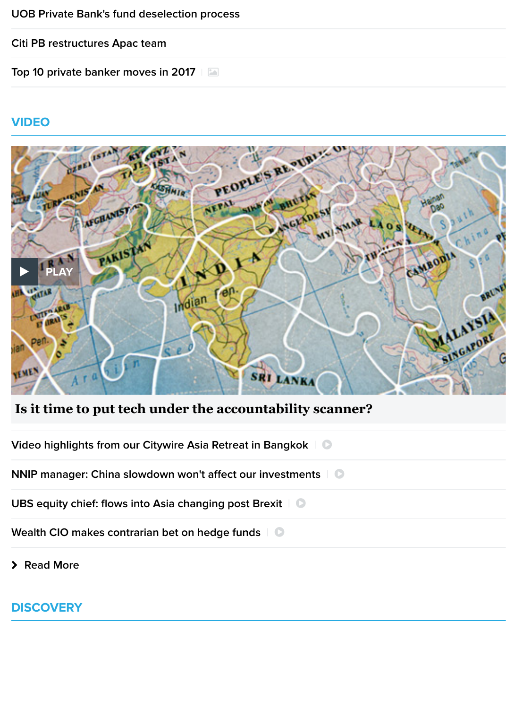

### **[Is it time to put tech under the accountability scanner?](http://citywireasia.com/news/is-it-time-to-put-tech-under-the-accountability-scanner/a1019593?ref=international-asia-video-list&linkSource=article-mini-hp)**

| Video highlights from our Citywire Asia Retreat in Bangkok   0               |
|------------------------------------------------------------------------------|
| <b>NNIP manager: China slowdown won't affect our investments</b>   $\bullet$ |
| UBS equity chief: flows into Asia changing post Brexit   0                   |
| Wealth CIO makes contrarian bet on hedge funds   0                           |
|                                                                              |

! **Read More**

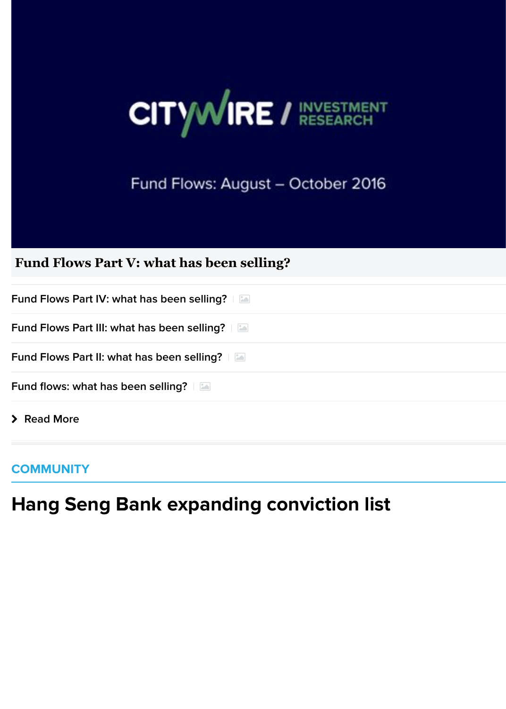## Fund Flows: August - October 2016

### **[Fund Flows Part V: what has been selling?](http://citywireasia.com/news/fund-flows-part-v-what-has-been-selling/a974784?ref=international-asia-discovery-list&linkSource=article-mini-hp)**

| > Read More                                        |  |
|----------------------------------------------------|--|
| <b>Fund flows: what has been selling?</b>          |  |
| <b>Fund Flows Part II: what has been selling?</b>  |  |
| <b>Fund Flows Part III: what has been selling?</b> |  |
| <b>Fund Flows Part IV: what has been selling?</b>  |  |

### **[COMMUNITY](http://citywireasia.com/news/fund-flows-part-iii-what-has-been-selling/a972832?ref=international-asia-discovery-list&linkSource=article-mini-hp)**

# **[Hang Seng Bank expanding conviction list](http://citywireasia.com/news/fund-flows-part-ii-what-has-been-selling/a972821?ref=international-asia-discovery-list&linkSource=article-mini-hp)**